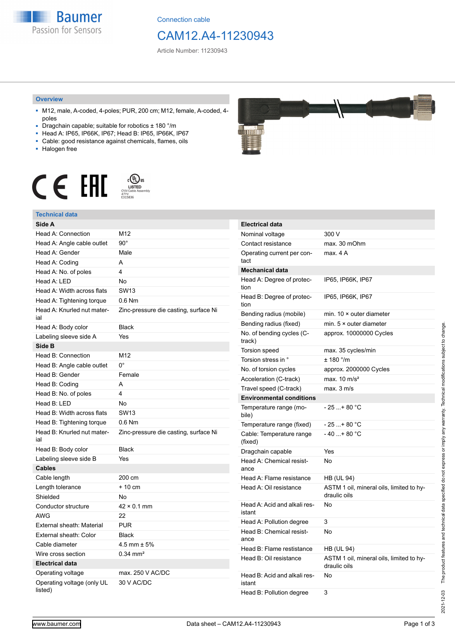**Baumer** Passion for Sensors

Connection cable

## CAM12.A4-11230943

Article Number: 11230943

#### **Overview**

- M12, male, A-coded, 4-poles; PUR, 200 cm; M12, female, A-coded, 4 poles
- Dragchain capable; suitable for robotics ± 180 °/m
- Head A: IP65, IP66K, IP67; Head B: IP65, IP66K, IP67
- Cable: good resistance against chemicals, flames, oils
- Halogen free



### **Technical data**

| Side A                                |                                       |
|---------------------------------------|---------------------------------------|
| Head A: Connection                    | M12                                   |
| Head A: Angle cable outlet            | $90^{\circ}$                          |
| Head A: Gender                        | Male                                  |
| Head A: Coding                        | A                                     |
| Head A: No. of poles                  | 4                                     |
| Head A: LED                           | No                                    |
| Head A: Width across flats            | <b>SW13</b>                           |
| Head A: Tightening torque             | $0.6$ Nm                              |
| Head A: Knurled nut mater-<br>ial     | Zinc-pressure die casting, surface Ni |
| Head A: Body color                    | <b>Black</b>                          |
| Labeling sleeve side A                | Yes                                   |
| Side B                                |                                       |
| Head B: Connection                    | M12                                   |
| Head B: Angle cable outlet            | 0°                                    |
| Head B: Gender                        | Female                                |
| Head B: Coding                        | A                                     |
| Head B: No. of poles                  | 4                                     |
| Head B: LED                           | No                                    |
| Head B: Width across flats            | <b>SW13</b>                           |
| Head B: Tightening torque             | $0.6$ Nm                              |
| Head B: Knurled nut mater-<br>ial     | Zinc-pressure die casting, surface Ni |
| Head B: Body color                    | <b>Black</b>                          |
| Labeling sleeve side B                | Yes                                   |
| <b>Cables</b>                         |                                       |
| Cable length                          | 200 cm                                |
| Length tolerance                      | $+10$ cm                              |
| Shielded                              | No                                    |
| Conductor structure                   | $42 \times 0.1$ mm                    |
| <b>AWG</b>                            | 22                                    |
| External sheath: Material             | <b>PUR</b>                            |
| External sheath: Color                | <b>Black</b>                          |
| Cable diameter                        | $4.5$ mm $\pm 5%$                     |
| Wire cross section                    | $0.34 \text{ mm}^2$                   |
| <b>Electrical data</b>                |                                       |
| Operating voltage                     | max. 250 V AC/DC                      |
| Operating voltage (only UL<br>listed) | 30 V AC/DC                            |



| <b>Electrical data</b>                 |                                                          |
|----------------------------------------|----------------------------------------------------------|
| Nominal voltage                        | 300 V                                                    |
| Contact resistance                     | max. 30 mOhm                                             |
| Operating current per con-<br>tact     | max. 4 A                                                 |
| <b>Mechanical data</b>                 |                                                          |
| Head A: Degree of protec-<br>tion      | IP65, IP66K, IP67                                        |
| Head B: Degree of protec-<br>tion      | IP65, IP66K, IP67                                        |
| Bending radius (mobile)                | min. $10 \times$ outer diameter                          |
| Bending radius (fixed)                 | min. $5 \times$ outer diameter                           |
| No. of bending cycles (C-<br>track)    | approx. 10000000 Cycles                                  |
| <b>Torsion speed</b>                   | max. 35 cycles/min                                       |
| Torsion stress in °                    | $± 180$ °/m                                              |
| No. of torsion cycles                  | approx. 2000000 Cycles                                   |
| Acceleration (C-track)                 | max. $10 \text{ m/s}^2$                                  |
| Travel speed (C-track)                 | max. 3 m/s                                               |
| <b>Environmental conditions</b>        |                                                          |
| Temperature range (mo-<br>bile)        | $-25+80 °C$                                              |
| Temperature range (fixed)              | $-25+80 °C$                                              |
| Cable: Temperature range<br>(fixed)    | $-40+80 °C$                                              |
| Dragchain capable                      | Yes                                                      |
| Head A: Chemical resist-<br>ance       | No                                                       |
| Head A: Flame resistance               | <b>HB (UL 94)</b>                                        |
| Head A: Oil resistance                 | ASTM 1 oil, mineral oils, limited to hy-<br>draulic oils |
| Head A: Acid and alkali res-<br>istant | No                                                       |
| Head A: Pollution degree               | 3                                                        |
| Head B: Chemical resist-<br>ance       | No                                                       |
| Head B: Flame restistance              | HB (UL 94)                                               |
| Head B: Oil resistance                 | ASTM 1 oil, mineral oils, limited to hy-<br>draulic oils |
| Head B: Acid and alkali res-<br>istant | No                                                       |
| Head B: Pollution degree               | 3                                                        |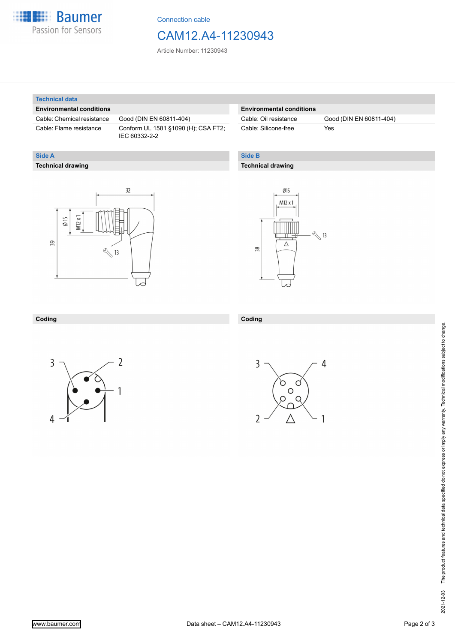

Connection cable

## CAM12.A4-11230943

Article Number: 11230943

#### **Technical data**

**Technical drawing**

**Side A**

#### **Environmental conditions**

Cable: Chemical resistance Good (DIN EN 60811-404)

Cable: Flame resistance Conform UL 1581 §1090 (H); CSA FT2; IEC 60332-2-2

#### **Environmental conditions**

Cable: Silicone-free Yes

Cable: Oil resistance Good (DIN EN 60811-404)

#### **Side B**

**Coding**

#### **Technical drawing**

# $32$  $M12x1$  $\emptyset$  15 39  $\sqrt[3]{13}$



#### **Coding**